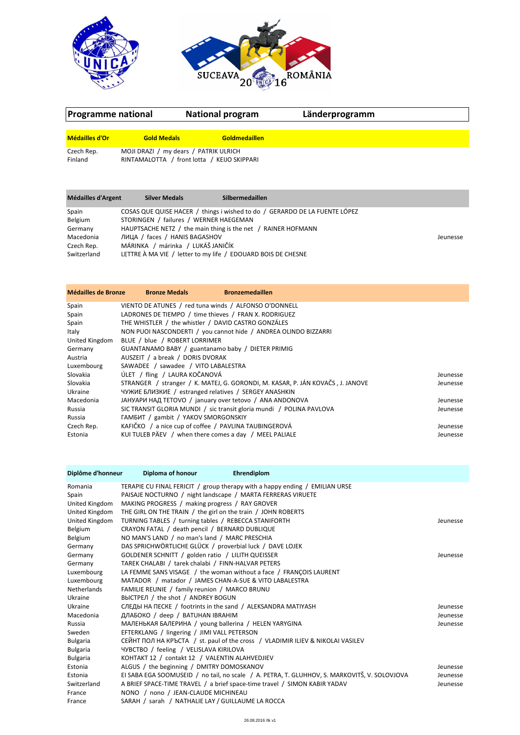



| Programme national                                                                                                                                                                                                                                                                                                                                                                                  |                                                                                      | <b>National program</b>                                                                                                                                                                                                                                                                       | Länderprogramm |  |
|-----------------------------------------------------------------------------------------------------------------------------------------------------------------------------------------------------------------------------------------------------------------------------------------------------------------------------------------------------------------------------------------------------|--------------------------------------------------------------------------------------|-----------------------------------------------------------------------------------------------------------------------------------------------------------------------------------------------------------------------------------------------------------------------------------------------|----------------|--|
| Médailles d'Or                                                                                                                                                                                                                                                                                                                                                                                      | <b>Gold Medals</b>                                                                   | Goldmedaillen                                                                                                                                                                                                                                                                                 |                |  |
| Czech Rep.<br>Finland                                                                                                                                                                                                                                                                                                                                                                               | MOJI DRAZI / my dears / PATRIK ULRICH<br>RINTAMALOTTA / front lotta / KEIJO SKIPPARI |                                                                                                                                                                                                                                                                                               |                |  |
| Médailles d'Argent                                                                                                                                                                                                                                                                                                                                                                                  | <b>Silver Medals</b>                                                                 | Silbermedaillen                                                                                                                                                                                                                                                                               |                |  |
| COSAS QUE QUISE HACER / things i wished to do / GERARDO DE LA FUENTE LÓPEZ<br>Spain<br>Belgium<br>STORINGEN / failures / WERNER HAEGEMAN<br>HAUPTSACHE NETZ / the main thing is the net / RAINER HOFMANN<br>Germany<br>ЛИЦА / faces / HANIS BAGASHOV<br>Macedonia<br>MÁRINKA / márinka / LUKÁŠ JANIČÍK<br>Czech Rep.<br>LETTRE À MA VIE / letter to my life / EDOUARD BOIS DE CHESNE<br>Switzerland |                                                                                      |                                                                                                                                                                                                                                                                                               | Jeunesse       |  |
| Médailles de Bronze                                                                                                                                                                                                                                                                                                                                                                                 | <b>Bronze Medals</b>                                                                 | <b>Bronzemedaillen</b>                                                                                                                                                                                                                                                                        |                |  |
| Spain<br>Spain<br>Spain<br>Italy<br>United Kingdom<br>Germany                                                                                                                                                                                                                                                                                                                                       | BLUE / blue / ROBERT LORRIMER                                                        | VIENTO DE ATUNES / red tuna winds / ALFONSO O'DONNELL<br>LADRONES DE TIEMPO / time thieves / FRAN X. RODRIGUEZ<br>THE WHISTLER / the whistler / DAVID CASTRO GONZÁLES<br>NON PUOI NASCONDERTI / you cannot hide / ANDREA OLINDO BIZZARRI<br>GUANTANAMO BABY / guantanamo baby / DIETER PRIMIG |                |  |

Slovakia ÚLET / fling / LAURA KOČANOVÁ Jeunesse Slovakia STRANGER / stranger / K. MATEJ, G. GORONDI, M. KASAR, P. JÁN KOVAČS, J. JANOVE Jeunesse

Russia SIC TRANSIT GLORIA MUNDI / sic transit gloria mundi / POLINA PAVLOVA<br>Russia GAMBUT / gambit / YAKOV SMORGONSKIY

Estonia KUI TULEB PÄEV / when there comes a day / MEEL PALIALE **Galian Comes and Accord Comesse** 

Macedonia ЈАНУАРИ НАД ТЕТОVO / january over tetovo / ANA ANDONOVA Jeunesse

KAFIČKO / a nice cup of coffee / PAVLINA TAUBINGEROVÁ Jeunesse

Germany GUANTANAMO BABY / guantanamo baby / DIETER PRIMIG<br>Austria AUSZEIT / a break / DORIS DVORAK AUSZEIT / a break / DORIS DVORAK

Ukraine **ЧУЖИЕ БЛИЗКИЕ / estranged relatives / SERGEY ANASHKIN**<br>Macedonia JAHУАРИ НАД TETOVO / january over tetovo / ANA ANDON

Luxembourg SAWADEE / sawadee / VITO LABALESTRA

Russia FAMBIAT / gambit / YAKOV SMORGONSKIY<br>Czech Rep. KAFIČKO / a nice cup of coffee / PAVLINA

| Diplôme d'honneur  | Diploma of honour<br>Ehrendiplom                                                             |          |
|--------------------|----------------------------------------------------------------------------------------------|----------|
| Romania            | TERAPIE CU FINAL FERICIT / group therapy with a happy ending / EMILIAN URSE                  |          |
| Spain              | PAISAJE NOCTURNO / night landscape / MARTA FERRERAS VIRUETE                                  |          |
| United Kingdom     | MAKING PROGRESS / making progress / RAY GROVER                                               |          |
| United Kingdom     | THE GIRL ON THE TRAIN / the girl on the train / JOHN ROBERTS                                 |          |
| United Kingdom     | TURNING TABLES / turning tables / REBECCA STANIFORTH                                         | Jeunesse |
| Belgium            | CRAYON FATAL / death pencil / BERNARD DUBLIQUE                                               |          |
| Belgium            | NO MAN'S LAND / no man's land / MARC PRESCHIA                                                |          |
| Germany            | DAS SPRICHWÖRTLICHE GLÜCK / proverbial luck / DAVE LOJEK                                     |          |
| Germany            | GOLDENER SCHNITT / golden ratio / LILITH QUEISSER                                            | Jeunesse |
| Germany            | TAREK CHALABI / tarek chalabi / FINN-HALVAR PETERS                                           |          |
| Luxembourg         | LA FEMME SANS VISAGE / the woman without a face / FRANCOIS LAURENT                           |          |
| Luxembourg         | MATADOR / matador / JAMES CHAN-A-SUE & VITO LABALESTRA                                       |          |
| <b>Netherlands</b> | FAMILIE REUNIE / family reunion / MARCO BRUNU                                                |          |
| Ukraine            | ВЫСТРЕЛ / the shot / ANDREY BOGUN                                                            |          |
| Ukraine            | СЛЕДЫ НА ПЕСКЕ / footrints in the sand / ALEKSANDRA MATIYASH                                 | Jeunesse |
| Macedonia          | ДЛАБОКО / deep / BATUHAN IBRAHIM                                                             | Jeunesse |
| Russia             | МАЛЕНЬКАЯ БАЛЕРИНА / young ballerina / HELEN YARYGINA                                        | Jeunesse |
| Sweden             | EFTERKLANG / lingering / JIMI VALL PETERSON                                                  |          |
| <b>Bulgaria</b>    | CEЙНТ ПОЛ НА КРЪСТА / st. paul of the cross / VLADIMIR ILIEV & NIKOLAI VASILEV               |          |
| Bulgaria           | <b>4YBCTBO</b> / feeling / VELISLAVA KIRILOVA                                                |          |
| Bulgaria           | KOHTAKT 12 / contakt 12 / VALENTIN ALAHVEDJIEV                                               |          |
| Estonia            | ALGUS / the beginning / DMITRY DOMOSKANOV                                                    | Jeunesse |
| Estonia            | EI SABA EGA SOOMUSEID / no tail, no scale / A. PETRA, T. GLUHHOV, S. MARKOVITŠ, V. SOLOVJOVA | Jeunesse |
| Switzerland        | A BRIEF SPACE-TIME TRAVEL / a brief space-time travel / SIMON KABIR YADAV                    | Jeunesse |
| France             | NONO / nono / JEAN-CLAUDE MICHINEAU                                                          |          |
| France             | SARAH / sarah / NATHALIE LAY / GUILLAUME LA ROCCA                                            |          |